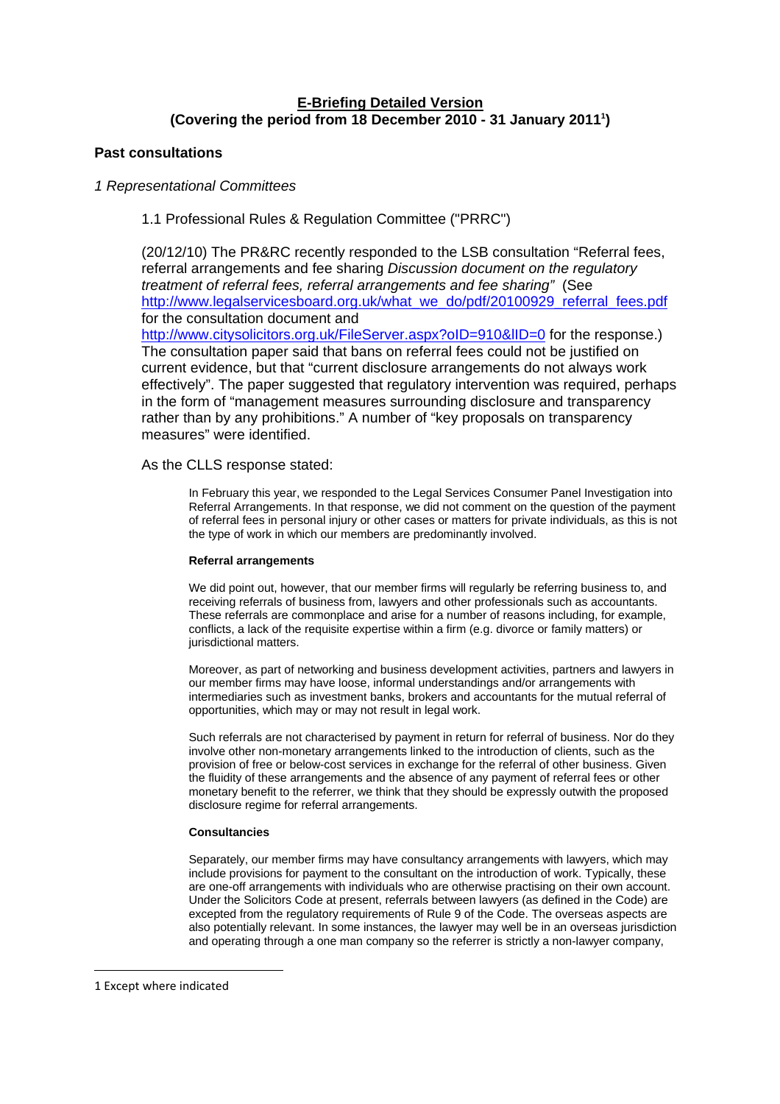# **E-Briefing Detailed Version (Covering the period from 18 December 2010 - 31 January 2011[1](#page-0-0) )**

# <span id="page-0-1"></span>**Past consultations**

# *1 Representational Committees*

# 1.1 Professional Rules & Regulation Committee ("PRRC")

(20/12/10) The PR&RC recently responded to the LSB consultation "Referral fees, referral arrangements and fee sharing *Discussion document on the regulatory treatment of referral fees, referral arrangements and fee sharing"* (See [http://www.legalservicesboard.org.uk/what\\_we\\_do/pdf/20100929\\_referral\\_fees.pdf](http://www.legalservicesboard.org.uk/what_we_do/pdf/20100929_referral_fees.pdf) for the consultation document and

http://www.citysolicitors.org.uk/FileServer.aspx?oID=910&IID=0 for the response.) The consultation paper said that bans on referral fees could not be justified on current evidence, but that "current disclosure arrangements do not always work effectively". The paper suggested that regulatory intervention was required, perhaps in the form of "management measures surrounding disclosure and transparency rather than by any prohibitions." A number of "key proposals on transparency measures" were identified.

# As the CLLS response stated:

In February this year, we responded to the Legal Services Consumer Panel Investigation into Referral Arrangements. In that response, we did not comment on the question of the payment of referral fees in personal injury or other cases or matters for private individuals, as this is not the type of work in which our members are predominantly involved.

# **Referral arrangements**

We did point out, however, that our member firms will regularly be referring business to, and receiving referrals of business from, lawyers and other professionals such as accountants. These referrals are commonplace and arise for a number of reasons including, for example, conflicts, a lack of the requisite expertise within a firm (e.g. divorce or family matters) or jurisdictional matters.

Moreover, as part of networking and business development activities, partners and lawyers in our member firms may have loose, informal understandings and/or arrangements with intermediaries such as investment banks, brokers and accountants for the mutual referral of opportunities, which may or may not result in legal work.

Such referrals are not characterised by payment in return for referral of business. Nor do they involve other non-monetary arrangements linked to the introduction of clients, such as the provision of free or below-cost services in exchange for the referral of other business. Given the fluidity of these arrangements and the absence of any payment of referral fees or other monetary benefit to the referrer, we think that they should be expressly outwith the proposed disclosure regime for referral arrangements.

## **Consultancies**

Separately, our member firms may have consultancy arrangements with lawyers, which may include provisions for payment to the consultant on the introduction of work. Typically, these are one-off arrangements with individuals who are otherwise practising on their own account. Under the Solicitors Code at present, referrals between lawyers (as defined in the Code) are excepted from the regulatory requirements of Rule 9 of the Code. The overseas aspects are also potentially relevant. In some instances, the lawyer may well be in an overseas jurisdiction and operating through a one man company so the referrer is strictly a non-lawyer company,

<span id="page-0-0"></span><sup>1</sup> Except where indicated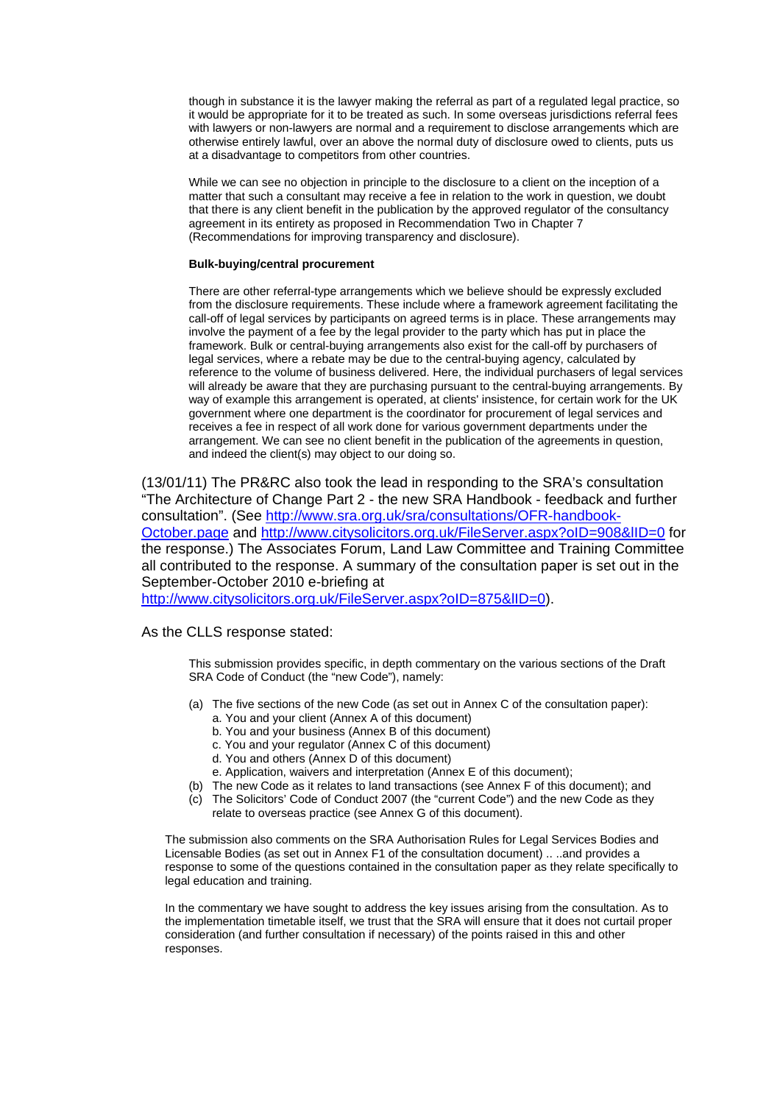though in substance it is the lawyer making the referral as part of a regulated legal practice, so it would be appropriate for it to be treated as such. In some overseas jurisdictions referral fees with lawyers or non-lawyers are normal and a requirement to disclose arrangements which are otherwise entirely lawful, over an above the normal duty of disclosure owed to clients, puts us at a disadvantage to competitors from other countries.

While we can see no objection in principle to the disclosure to a client on the inception of a matter that such a consultant may receive a fee in relation to the work in question, we doubt that there is any client benefit in the publication by the approved regulator of the consultancy agreement in its entirety as proposed in Recommendation Two in Chapter 7 (Recommendations for improving transparency and disclosure).

### **Bulk-buying/central procurement**

There are other referral-type arrangements which we believe should be expressly excluded from the disclosure requirements. These include where a framework agreement facilitating the call-off of legal services by participants on agreed terms is in place. These arrangements may involve the payment of a fee by the legal provider to the party which has put in place the framework. Bulk or central-buying arrangements also exist for the call-off by purchasers of legal services, where a rebate may be due to the central-buying agency, calculated by reference to the volume of business delivered. Here, the individual purchasers of legal services will already be aware that they are purchasing pursuant to the central-buying arrangements. By way of example this arrangement is operated, at clients' insistence, for certain work for the UK government where one department is the coordinator for procurement of legal services and receives a fee in respect of all work done for various government departments under the arrangement. We can see no client benefit in the publication of the agreements in question, and indeed the client(s) may object to our doing so.

(13/01/11) The PR&RC also took the lead in responding to the SRA's consultation "The Architecture of Change Part 2 - the new SRA Handbook - feedback and further consultation". (See [http://www.sra.org.uk/sra/consultations/OFR-handbook-](http://www.sra.org.uk/sra/consultations/OFR-handbook-October.page)[October.page](http://www.sra.org.uk/sra/consultations/OFR-handbook-October.page) and<http://www.citysolicitors.org.uk/FileServer.aspx?oID=908&lID=0> for the response.) The Associates Forum, Land Law Committee and Training Committee all contributed to the response. A summary of the consultation paper is set out in the September-October 2010 e-briefing at

http://www.citysolicitors.org.uk/FileServer.aspx?oID=875&IID=0).

As the CLLS response stated:

This submission provides specific, in depth commentary on the various sections of the Draft SRA Code of Conduct (the "new Code"), namely:

- (a) The five sections of the new Code (as set out in Annex C of the consultation paper):
	- a. You and your client (Annex A of this document)
	- b. You and your business (Annex B of this document)
	- c. You and your regulator (Annex C of this document)
	- d. You and others (Annex D of this document)
	- e. Application, waivers and interpretation (Annex E of this document);
- (b) The new Code as it relates to land transactions (see Annex F of this document); and
- (c) The Solicitors' Code of Conduct 2007 (the "current Code") and the new Code as they relate to overseas practice (see Annex G of this document).

The submission also comments on the SRA Authorisation Rules for Legal Services Bodies and Licensable Bodies (as set out in Annex F1 of the consultation document) .. ..and provides a response to some of the questions contained in the consultation paper as they relate specifically to legal education and training.

In the commentary we have sought to address the key issues arising from the consultation. As to the implementation timetable itself, we trust that the SRA will ensure that it does not curtail proper consideration (and further consultation if necessary) of the points raised in this and other responses.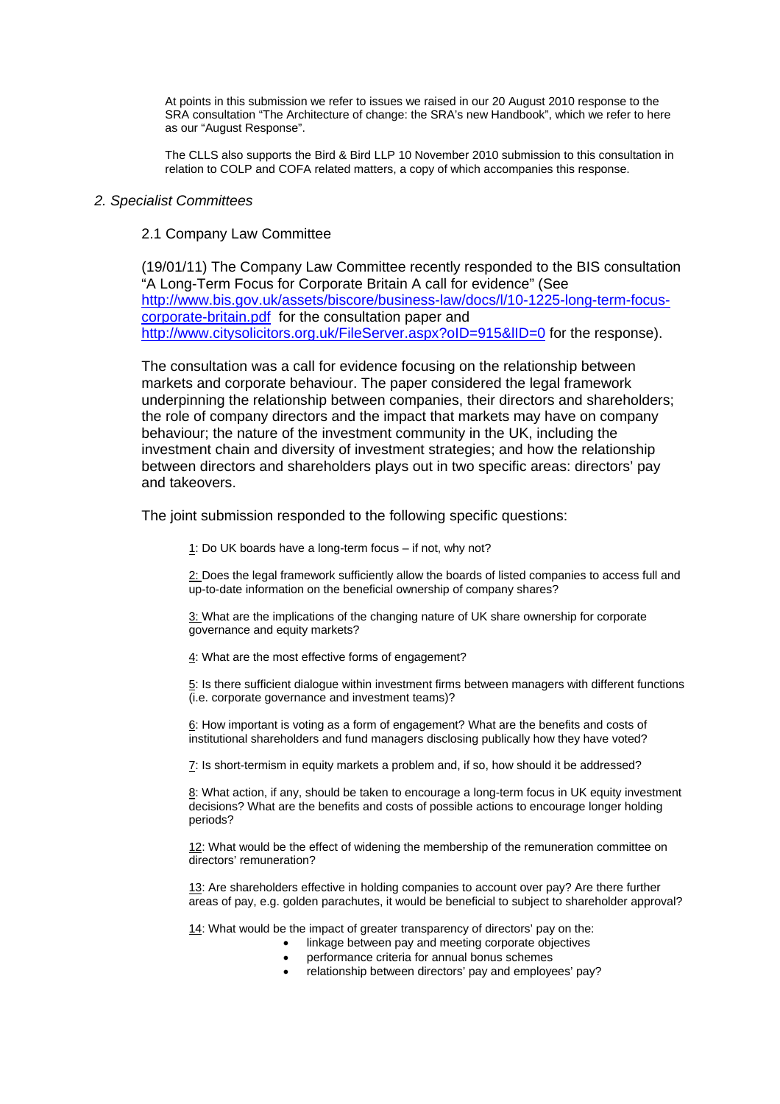At points in this submission we refer to issues we raised in our 20 August 2010 response to the SRA consultation "The Architecture of change: the SRA's new Handbook", which we refer to here as our "August Response".

The CLLS also supports the Bird & Bird LLP 10 November 2010 submission to this consultation in relation to COLP and COFA related matters, a copy of which accompanies this response.

# *2. Specialist Committees*

# 2.1 Company Law Committee

(19/01/11) The Company Law Committee recently responded to the BIS consultation "A Long-Term Focus for Corporate Britain A call for evidence" (See [http://www.bis.gov.uk/assets/biscore/business-law/docs/l/10-1225-long-term-focus](http://www.bis.gov.uk/assets/biscore/business-law/docs/l/10-1225-long-term-focus-corporate-britain.pdf)[corporate-britain.pdf](http://www.bis.gov.uk/assets/biscore/business-law/docs/l/10-1225-long-term-focus-corporate-britain.pdf) for the consultation paper and http://www.citysolicitors.org.uk/FileServer.aspx?oID=915&IID=0 for the response).

The consultation was a call for evidence focusing on the relationship between markets and corporate behaviour. The paper considered the legal framework underpinning the relationship between companies, their directors and shareholders; the role of company directors and the impact that markets may have on company behaviour; the nature of the investment community in the UK, including the investment chain and diversity of investment strategies; and how the relationship between directors and shareholders plays out in two specific areas: directors' pay and takeovers.

The joint submission responded to the following specific questions:

1: Do UK boards have a long-term focus – if not, why not?

2: Does the legal framework sufficiently allow the boards of listed companies to access full and up-to-date information on the beneficial ownership of company shares?

3: What are the implications of the changing nature of UK share ownership for corporate governance and equity markets?

4: What are the most effective forms of engagement?

5: Is there sufficient dialogue within investment firms between managers with different functions (i.e. corporate governance and investment teams)?

6: How important is voting as a form of engagement? What are the benefits and costs of institutional shareholders and fund managers disclosing publically how they have voted?

7: Is short-termism in equity markets a problem and, if so, how should it be addressed?

8: What action, if any, should be taken to encourage a long-term focus in UK equity investment decisions? What are the benefits and costs of possible actions to encourage longer holding periods?

12: What would be the effect of widening the membership of the remuneration committee on directors' remuneration?

13: Are shareholders effective in holding companies to account over pay? Are there further areas of pay, e.g. golden parachutes, it would be beneficial to subject to shareholder approval?

14: What would be the impact of greater transparency of directors' pay on the:

- linkage between pay and meeting corporate objectives
- performance criteria for annual bonus schemes
- relationship between directors' pay and employees' pay?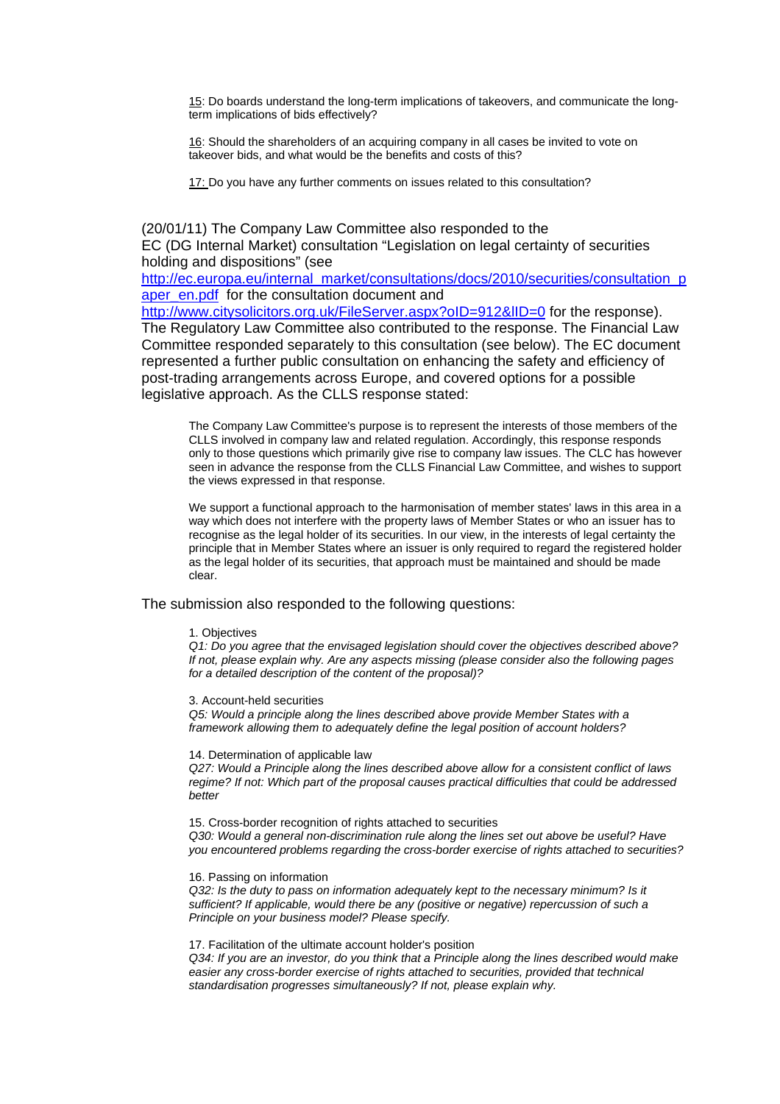15: Do boards understand the long-term implications of takeovers, and communicate the longterm implications of bids effectively?

16: Should the shareholders of an acquiring company in all cases be invited to vote on takeover bids, and what would be the benefits and costs of this?

17: Do you have any further comments on issues related to this consultation?

(20/01/11) The Company Law Committee also responded to the EC (DG Internal Market) consultation "Legislation on legal certainty of securities holding and dispositions" (see

[http://ec.europa.eu/internal\\_market/consultations/docs/2010/securities/consultation\\_p](http://ec.europa.eu/internal_market/consultations/docs/2010/securities/consultation_paper_en.pdf) [aper\\_en.pdf](http://ec.europa.eu/internal_market/consultations/docs/2010/securities/consultation_paper_en.pdf) for the consultation document and

http://www.citysolicitors.org.uk/FileServer.aspx?oID=912&IID=0 for the response). The Regulatory Law Committee also contributed to the response. The Financial Law Committee responded separately to this consultation (see below). The EC document represented a further public consultation on enhancing the safety and efficiency of post-trading arrangements across Europe, and covered options for a possible legislative approach. As the CLLS response stated:

The Company Law Committee's purpose is to represent the interests of those members of the CLLS involved in company law and related regulation. Accordingly, this response responds only to those questions which primarily give rise to company law issues. The CLC has however seen in advance the response from the CLLS Financial Law Committee, and wishes to support the views expressed in that response.

We support a functional approach to the harmonisation of member states' laws in this area in a way which does not interfere with the property laws of Member States or who an issuer has to recognise as the legal holder of its securities. In our view, in the interests of legal certainty the principle that in Member States where an issuer is only required to regard the registered holder as the legal holder of its securities, that approach must be maintained and should be made clear.

The submission also responded to the following questions:

## 1. Objectives

*Q1: Do you agree that the envisaged legislation should cover the objectives described above? If not, please explain why. Are any aspects missing (please consider also the following pages for a detailed description of the content of the proposal)?* 

#### 3. Account-held securities

*Q5: Would a principle along the lines described above provide Member States with a framework allowing them to adequately define the legal position of account holders?* 

#### 14. Determination of applicable law

*Q27: Would a Principle along the lines described above allow for a consistent conflict of laws regime? If not: Which part of the proposal causes practical difficulties that could be addressed better* 

15. Cross-border recognition of rights attached to securities *Q30: Would a general non-discrimination rule along the lines set out above be useful? Have you encountered problems regarding the cross-border exercise of rights attached to securities?* 

16. Passing on information

*Q32: Is the duty to pass on information adequately kept to the necessary minimum? Is it sufficient? If applicable, would there be any (positive or negative) repercussion of such a Principle on your business model? Please specify.* 

17. Facilitation of the ultimate account holder's position

*Q34: If you are an investor, do you think that a Principle along the lines described would make easier any cross-border exercise of rights attached to securities, provided that technical standardisation progresses simultaneously? If not, please explain why.*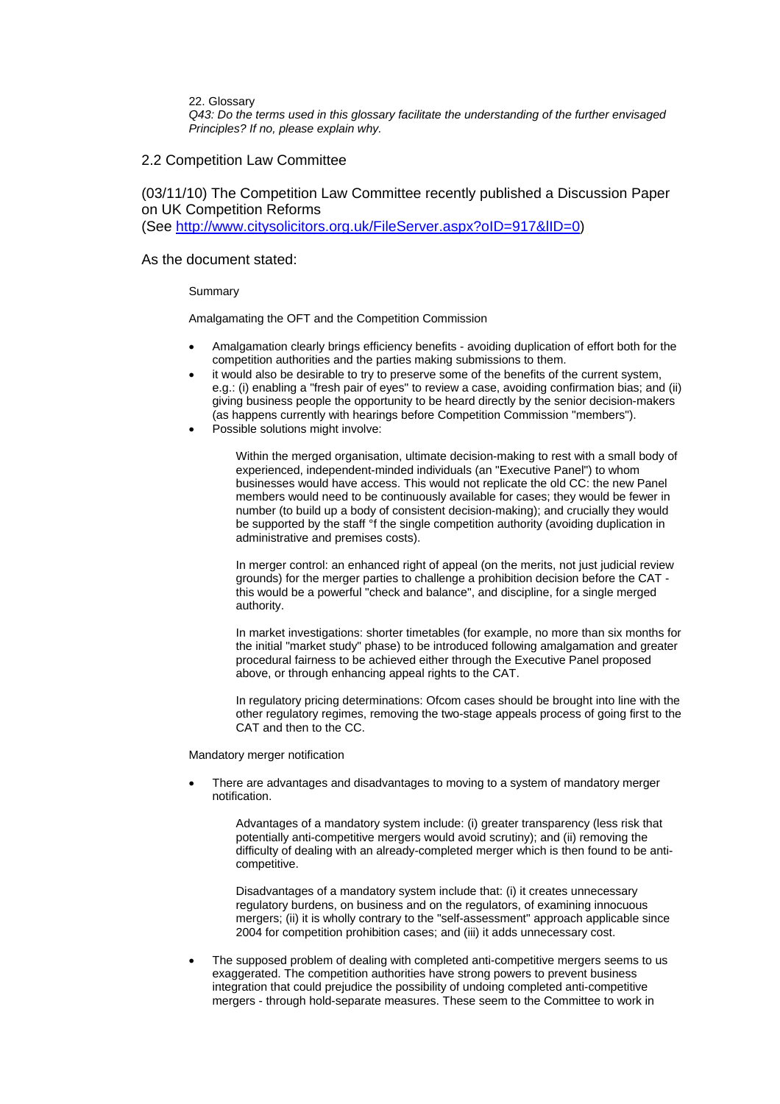22. Glossary

*Q43: Do the terms used in this glossary facilitate the understanding of the further envisaged Principles? If no, please explain why.*

## 2.2 Competition Law Committee

(03/11/10) The Competition Law Committee recently published a Discussion Paper on UK Competition Reforms (See<http://www.citysolicitors.org.uk/FileServer.aspx?oID=917&lID=0>)

## As the document stated:

### Summary

Amalgamating the OFT and the Competition Commission

- Amalgamation clearly brings efficiency benefits avoiding duplication of effort both for the competition authorities and the parties making submissions to them.
- it would also be desirable to try to preserve some of the benefits of the current system, e.g.: (i) enabling a "fresh pair of eyes" to review a case, avoiding confirmation bias; and (ii) giving business people the opportunity to be heard directly by the senior decision-makers (as happens currently with hearings before Competition Commission "members").
- Possible solutions might involve:

Within the merged organisation, ultimate decision-making to rest with a small body of experienced, independent-minded individuals (an "Executive Panel") to whom businesses would have access. This would not replicate the old CC: the new Panel members would need to be continuously available for cases; they would be fewer in number (to build up a body of consistent decision-making); and crucially they would be supported by the staff <sup>of</sup> the single competition authority (avoiding duplication in administrative and premises costs).

In merger control: an enhanced right of appeal (on the merits, not just judicial review grounds) for the merger parties to challenge a prohibition decision before the CAT this would be a powerful "check and balance", and discipline, for a single merged authority.

In market investigations: shorter timetables (for example, no more than six months for the initial "market study" phase) to be introduced following amalgamation and greater procedural fairness to be achieved either through the Executive Panel proposed above, or through enhancing appeal rights to the CAT.

In regulatory pricing determinations: Ofcom cases should be brought into line with the other regulatory regimes, removing the two-stage appeals process of going first to the CAT and then to the CC.

Mandatory merger notification

• There are advantages and disadvantages to moving to a system of mandatory merger notification.

Advantages of a mandatory system include: (i) greater transparency (less risk that potentially anti-competitive mergers would avoid scrutiny); and (ii) removing the difficulty of dealing with an already-completed merger which is then found to be anticompetitive.

Disadvantages of a mandatory system include that: (i) it creates unnecessary regulatory burdens, on business and on the regulators, of examining innocuous mergers; (ii) it is wholly contrary to the "self-assessment" approach applicable since 2004 for competition prohibition cases; and (iii) it adds unnecessary cost.

• The supposed problem of dealing with completed anti-competitive mergers seems to us exaggerated. The competition authorities have strong powers to prevent business integration that could prejudice the possibility of undoing completed anti-competitive mergers - through hold-separate measures. These seem to the Committee to work in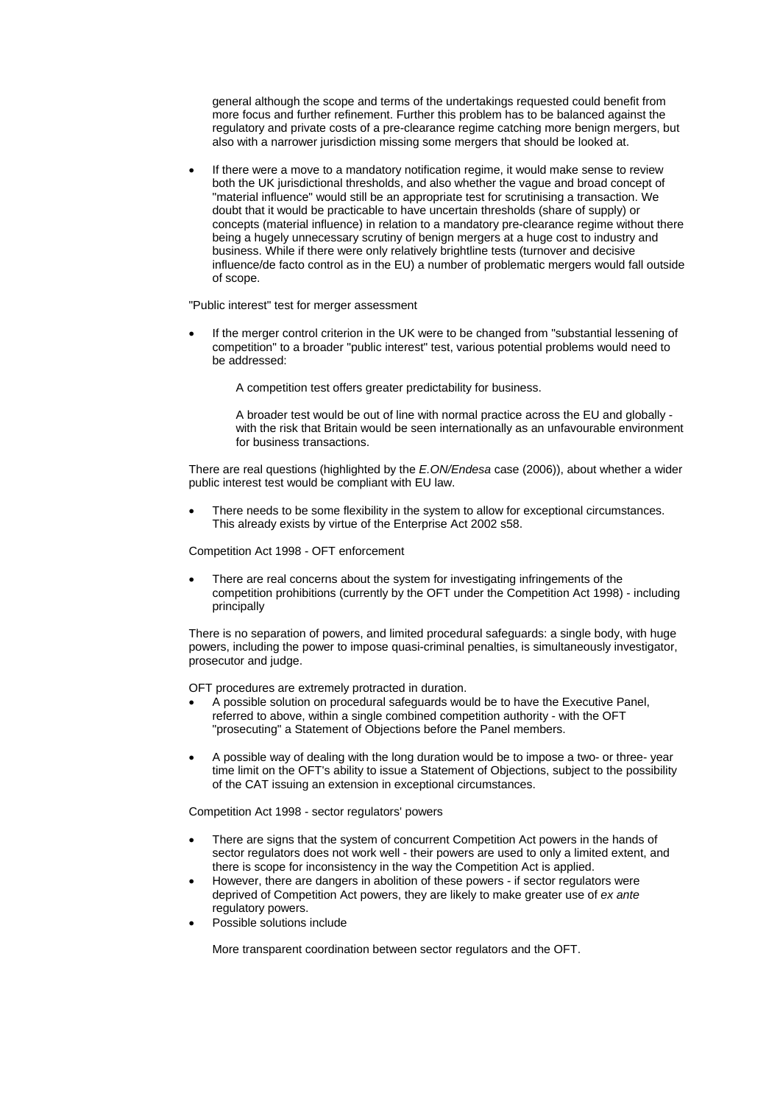general although the scope and terms of the undertakings requested could benefit from more focus and further refinement. Further this problem has to be balanced against the regulatory and private costs of a pre-clearance regime catching more benign mergers, but also with a narrower jurisdiction missing some mergers that should be looked at.

• If there were a move to a mandatory notification regime, it would make sense to review both the UK jurisdictional thresholds, and also whether the vague and broad concept of "material influence" would still be an appropriate test for scrutinising a transaction. We doubt that it would be practicable to have uncertain thresholds (share of supply) or concepts (material influence) in relation to a mandatory pre-clearance regime without there being a hugely unnecessary scrutiny of benign mergers at a huge cost to industry and business. While if there were only relatively brightline tests (turnover and decisive influence/de facto control as in the EU) a number of problematic mergers would fall outside of scope.

"Public interest" test for merger assessment

• If the merger control criterion in the UK were to be changed from "substantial lessening of competition" to a broader "public interest" test, various potential problems would need to be addressed:

A competition test offers greater predictability for business.

A broader test would be out of line with normal practice across the EU and globally with the risk that Britain would be seen internationally as an unfavourable environment for business transactions.

There are real questions (highlighted by the *E.ON/Endesa* case (2006)), about whether a wider public interest test would be compliant with EU law.

• There needs to be some flexibility in the system to allow for exceptional circumstances. This already exists by virtue of the Enterprise Act 2002 s58.

Competition Act 1998 - OFT enforcement

There are real concerns about the system for investigating infringements of the competition prohibitions (currently by the OFT under the Competition Act 1998) - including principally

There is no separation of powers, and limited procedural safeguards: a single body, with huge powers, including the power to impose quasi-criminal penalties, is simultaneously investigator, prosecutor and judge.

OFT procedures are extremely protracted in duration.

- A possible solution on procedural safeguards would be to have the Executive Panel, referred to above, within a single combined competition authority - with the OFT "prosecuting" a Statement of Objections before the Panel members.
- A possible way of dealing with the long duration would be to impose a two- or three- year time limit on the OFT's ability to issue a Statement of Objections, subject to the possibility of the CAT issuing an extension in exceptional circumstances.

Competition Act 1998 - sector regulators' powers

- There are signs that the system of concurrent Competition Act powers in the hands of sector regulators does not work well - their powers are used to only a limited extent, and there is scope for inconsistency in the way the Competition Act is applied.
- However, there are dangers in abolition of these powers if sector regulators were deprived of Competition Act powers, they are likely to make greater use of *ex ante*  regulatory powers.
- Possible solutions include

More transparent coordination between sector regulators and the OFT.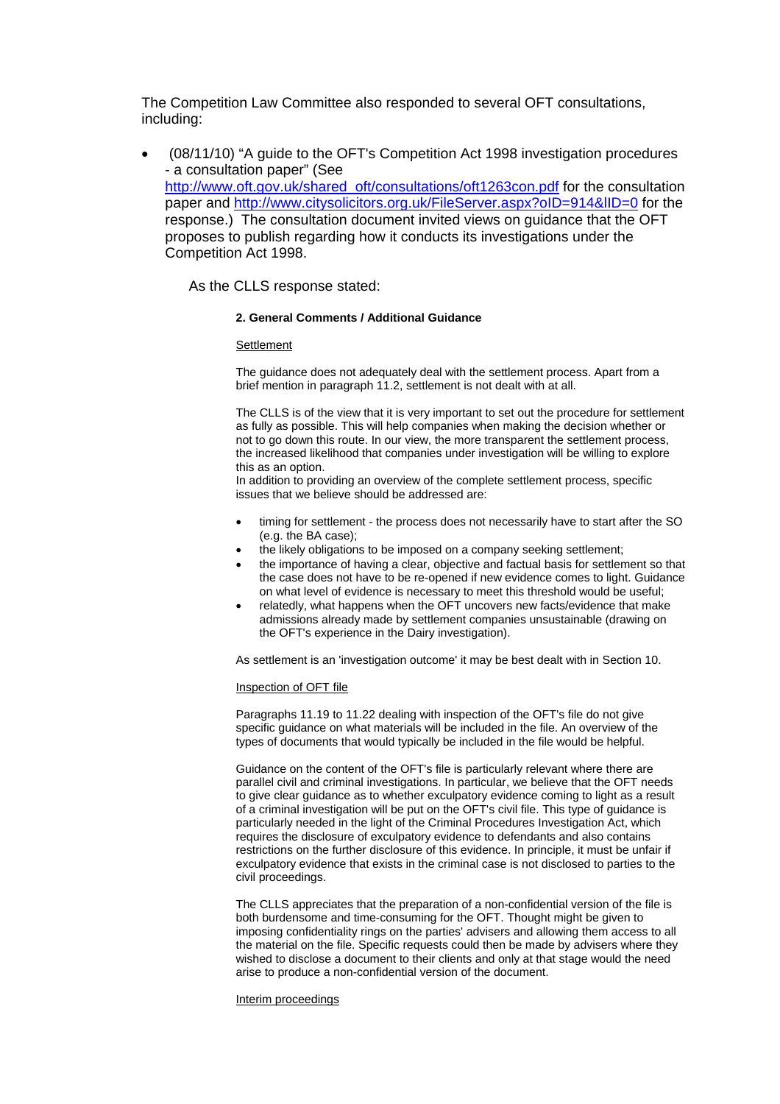The Competition Law Committee also responded to several OFT consultations, including:

• (08/11/10) "A guide to the OFT's Competition Act 1998 investigation procedures - a consultation paper" (See [http://www.oft.gov.uk/shared\\_oft/consultations/oft1263con.pdf](http://www.oft.gov.uk/shared_oft/consultations/oft1263con.pdf) for the consultation paper and http://www.citysolicitors.org.uk/FileServer.aspx?oID=914&IID=0 for the response.) The consultation document invited views on guidance that the OFT proposes to publish regarding how it conducts its investigations under the Competition Act 1998.

As the CLLS response stated:

### **2. General Comments / Additional Guidance**

### **Settlement**

The guidance does not adequately deal with the settlement process. Apart from a brief mention in paragraph 11.2, settlement is not dealt with at all.

The CLLS is of the view that it is very important to set out the procedure for settlement as fully as possible. This will help companies when making the decision whether or not to go down this route. In our view, the more transparent the settlement process, the increased likelihood that companies under investigation will be willing to explore this as an option.

In addition to providing an overview of the complete settlement process, specific issues that we believe should be addressed are:

- timing for settlement the process does not necessarily have to start after the SO (e.g. the BA case);
- the likely obligations to be imposed on a company seeking settlement;
- the importance of having a clear, objective and factual basis for settlement so that the case does not have to be re-opened if new evidence comes to light. Guidance on what level of evidence is necessary to meet this threshold would be useful;
- relatedly, what happens when the OFT uncovers new facts/evidence that make admissions already made by settlement companies unsustainable (drawing on the OFT's experience in the Dairy investigation).

As settlement is an 'investigation outcome' it may be best dealt with in Section 10.

### Inspection of OFT file

Paragraphs 11.19 to 11.22 dealing with inspection of the OFT's file do not give specific guidance on what materials will be included in the file. An overview of the types of documents that would typically be included in the file would be helpful.

Guidance on the content of the OFT's file is particularly relevant where there are parallel civil and criminal investigations. In particular, we believe that the OFT needs to give clear guidance as to whether exculpatory evidence coming to light as a result of a criminal investigation will be put on the OFT's civil file. This type of guidance is particularly needed in the light of the Criminal Procedures Investigation Act, which requires the disclosure of exculpatory evidence to defendants and also contains restrictions on the further disclosure of this evidence. In principle, it must be unfair if exculpatory evidence that exists in the criminal case is not disclosed to parties to the civil proceedings.

The CLLS appreciates that the preparation of a non-confidential version of the file is both burdensome and time-consuming for the OFT. Thought might be given to imposing confidentiality rings on the parties' advisers and allowing them access to all the material on the file. Specific requests could then be made by advisers where they wished to disclose a document to their clients and only at that stage would the need arise to produce a non-confidential version of the document.

Interim proceedings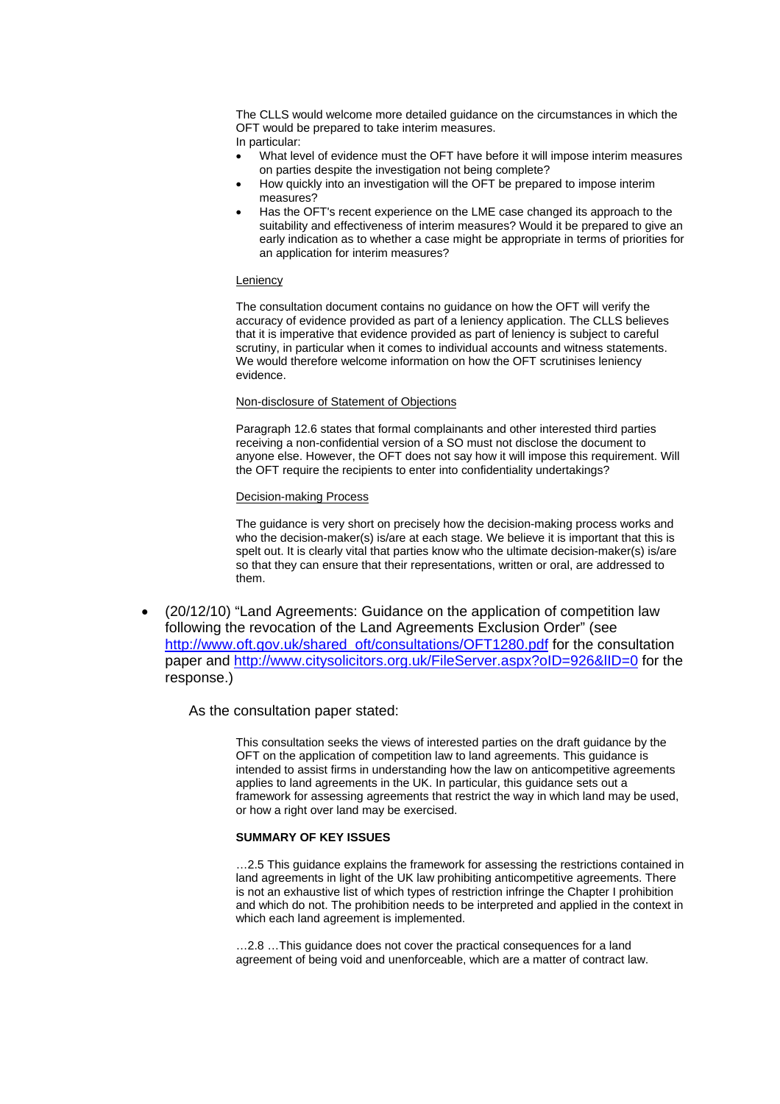The CLLS would welcome more detailed guidance on the circumstances in which the OFT would be prepared to take interim measures.

- In particular:
- What level of evidence must the OFT have before it will impose interim measures on parties despite the investigation not being complete?
- How quickly into an investigation will the OFT be prepared to impose interim measures?
- Has the OFT's recent experience on the LME case changed its approach to the suitability and effectiveness of interim measures? Would it be prepared to give an early indication as to whether a case might be appropriate in terms of priorities for an application for interim measures?

### Leniency

The consultation document contains no guidance on how the OFT will verify the accuracy of evidence provided as part of a leniency application. The CLLS believes that it is imperative that evidence provided as part of leniency is subject to careful scrutiny, in particular when it comes to individual accounts and witness statements. We would therefore welcome information on how the OFT scrutinises leniency evidence.

### Non-disclosure of Statement of Objections

Paragraph 12.6 states that formal complainants and other interested third parties receiving a non-confidential version of a SO must not disclose the document to anyone else. However, the OFT does not say how it will impose this requirement. Will the OFT require the recipients to enter into confidentiality undertakings?

# Decision-making Process

The guidance is very short on precisely how the decision-making process works and who the decision-maker(s) is/are at each stage. We believe it is important that this is spelt out. It is clearly vital that parties know who the ultimate decision-maker(s) is/are so that they can ensure that their representations, written or oral, are addressed to them.

• (20/12/10) "Land Agreements: Guidance on the application of competition law following the revocation of the Land Agreements Exclusion Order" (see [http://www.oft.gov.uk/shared\\_oft/consultations/OFT1280.pdf](http://www.oft.gov.uk/shared_oft/consultations/OFT1280.pdf) for the consultation paper and http://www.citysolicitors.org.uk/FileServer.aspx?oID=926&IID=0 for the response.)

# As the consultation paper stated:

This consultation seeks the views of interested parties on the draft guidance by the OFT on the application of competition law to land agreements. This guidance is intended to assist firms in understanding how the law on anticompetitive agreements applies to land agreements in the UK. In particular, this guidance sets out a framework for assessing agreements that restrict the way in which land may be used, or how a right over land may be exercised.

## **SUMMARY OF KEY ISSUES**

…2.5 This guidance explains the framework for assessing the restrictions contained in land agreements in light of the UK law prohibiting anticompetitive agreements. There is not an exhaustive list of which types of restriction infringe the Chapter I prohibition and which do not. The prohibition needs to be interpreted and applied in the context in which each land agreement is implemented.

…2.8 …This guidance does not cover the practical consequences for a land agreement of being void and unenforceable, which are a matter of contract law.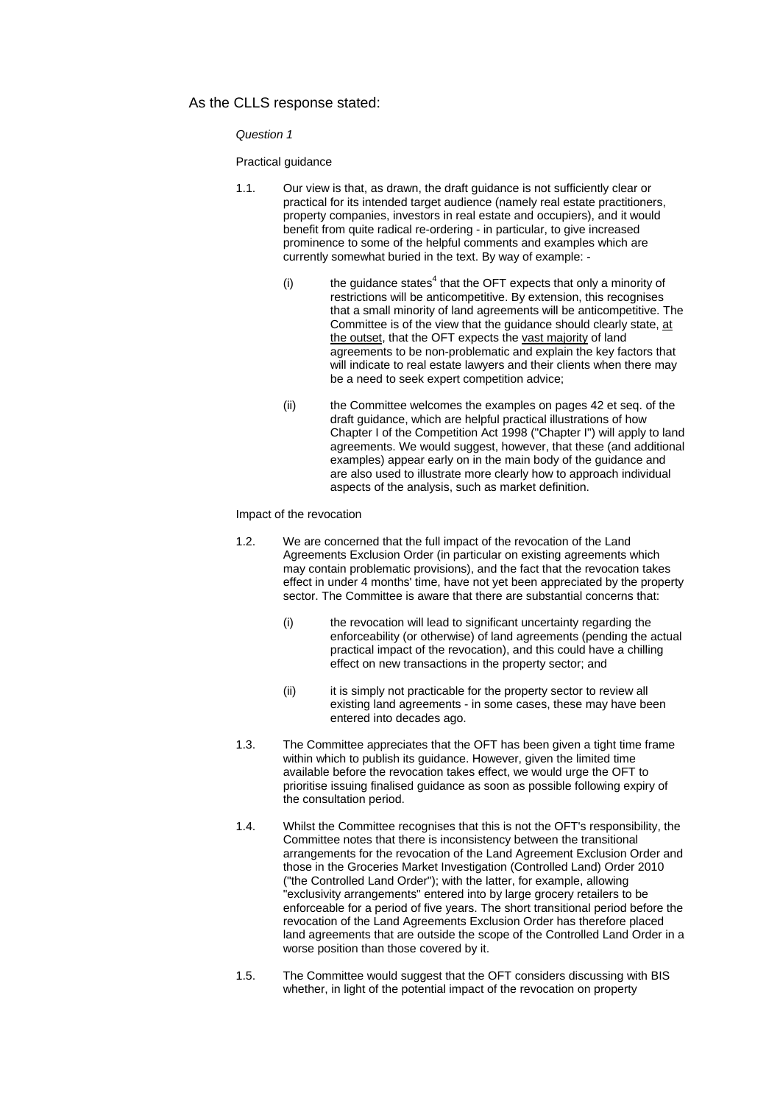# As the CLLS response stated:

*Question 1* 

Practical guidance

- 1.1. Our view is that, as drawn, the draft guidance is not sufficiently clear or practical for its intended target audience (namely real estate practitioners, property companies, investors in real estate and occupiers), and it would benefit from quite radical re-ordering - in particular, to give increased prominence to some of the helpful comments and examples which are currently somewhat buried in the text. By way of example:
	- (i) [t](#page-0-1)he guidance states<sup>4</sup> that the OFT expects that only a minority of restrictions will be anticompetitive. By extension, this recognises that a small minority of land agreements will be anticompetitive. The Committee is of the view that the guidance should clearly state, at the outset, that the OFT expects the vast majority of land agreements to be non-problematic and explain the key factors that will indicate to real estate lawyers and their clients when there may be a need to seek expert competition advice;
	- (ii) the Committee welcomes the examples on pages 42 et seq. of the draft guidance, which are helpful practical illustrations of how Chapter I of the Competition Act 1998 ("Chapter I") will apply to land agreements. We would suggest, however, that these (and additional examples) appear early on in the main body of the guidance and are also used to illustrate more clearly how to approach individual aspects of the analysis, such as market definitio[n.](#page-0-1)

Impact of the revocation

- 1.2. We are concerned that the full impact of the revocation of the Land Agreements Exclusion Order (in particular on existing agreements which may contain problematic provisions), and the fact that the revocation takes effect in under 4 months' time, have not yet been appreciated by the property sector. The Committee is aware that there are substantial concerns that:
	- (i) the revocation will lead to significant uncertainty regarding the enforceability (or otherwise) of land agreements (pending the actual practical impact of the revocation), and this could have a chilling effect on new transactions in the property sector; and
	- (ii) it is simply not practicable for the property sector to review all existing land agreements - in some cases, these may have been entered into decades ago.
- 1.3. The Committee appreciates that the OFT has been given a tight time frame within which to publish its guidance. However, given the limited time available before the revocation takes effect, we would urge the OFT to prioritise issuing finalised guidance as soon as possible following expiry of the consultation period.
- 1.4. Whilst the Committee recognises that this is not the OFT's responsibility, the Committee notes that there is inconsistency between the transitional arrangements for the revocation of the Land Agreement Exclusion Order and those in the Groceries Market Investigation (Controlled Land) Order 2010 ("the Controlled Land Order"); with the latter, for example, allowing "exclusivity arrangements" entered into by large grocery retailers to be enforceable for a period of five years. The short transitional period before the revocation of the Land Agreements Exclusion Order has therefore placed land agreements that are outside the scope of the Controlled Land Order in a worse position than those covered by it.
- 1.5. The Committee would suggest that the OFT considers discussing with BIS whether, in light of the potential impact of the revocation on property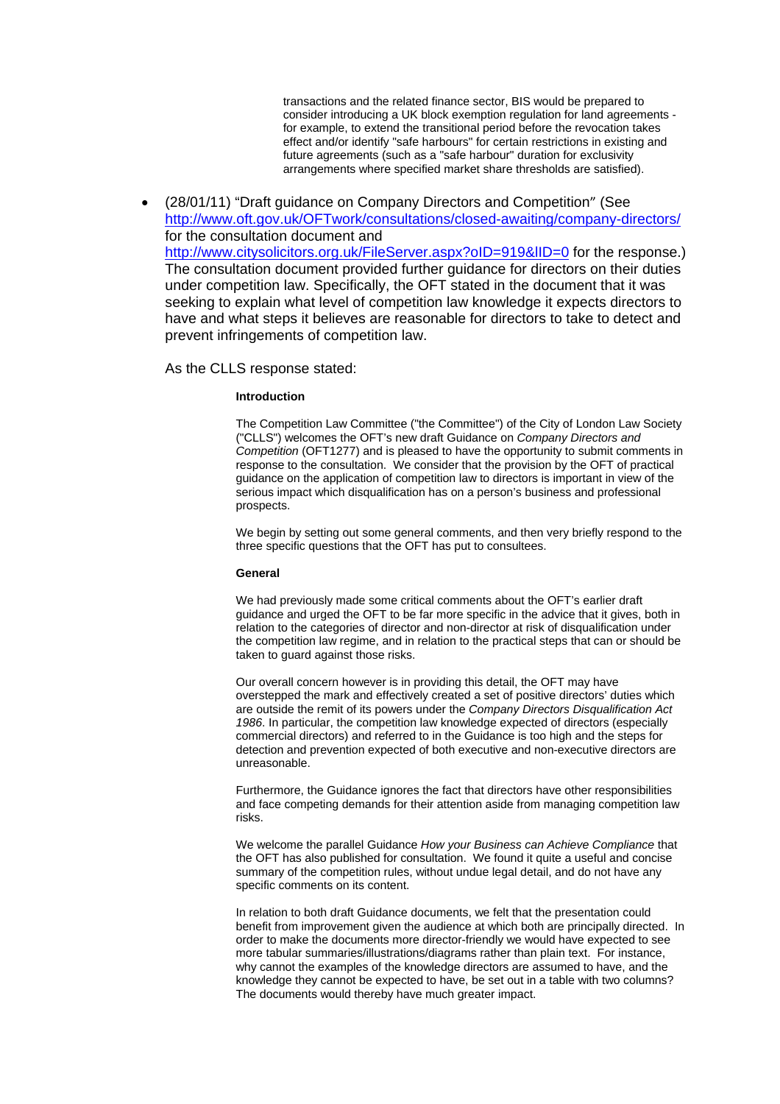transactions and the related finance sector, BIS would be prepared to consider introducing a UK block exemption regulation for land agreements for example, to extend the transitional period before the revocation takes effect and/or identify "safe harbours" for certain restrictions in existing and future agreements (such as a "safe harbour" duration for exclusivity arrangements where specified market share thresholds are satisfied).

• (28/01/11) "D[raft guidance on Company Directors and Competition](http://www.oft.gov.uk/shared_oft/consultations/OFT1277.pdf)" (See <http://www.oft.gov.uk/OFTwork/consultations/closed-awaiting/company-directors/> for the consultation document and http://www.citysolicitors.org.uk/FileServer.aspx?oID=919&IID=0 for the response.) The consultation document provided further guidance for directors on their duties under competition law. Specifically, the OFT stated in the document that it was seeking to explain what level of competition law knowledge it expects directors to have and what steps it believes are reasonable for directors to take to detect and prevent infringements of competition law.

As the CLLS response stated:

### **Introduction**

The Competition Law Committee ("the Committee") of the City of London Law Society ("CLLS") welcomes the OFT's new draft Guidance on *Company Directors and Competition* (OFT1277) and is pleased to have the opportunity to submit comments in response to the consultation. We consider that the provision by the OFT of practical guidance on the application of competition law to directors is important in view of the serious impact which disqualification has on a person's business and professional prospects.

We begin by setting out some general comments, and then very briefly respond to the three specific questions that the OFT has put to consultees.

#### **General**

We had previously made some critical comments about the OFT's earlier draft guidance and urged the OFT to be far more specific in the advice that it gives, both in relation to the categories of director and non-director at risk of disqualification under the competition law regime, and in relation to the practical steps that can or should be taken to guard against those risks.

Our overall concern however is in providing this detail, the OFT may have overstepped the mark and effectively created a set of positive directors' duties which are outside the remit of its powers under the *Company Directors Disqualification Act 1986*. In particular, the competition law knowledge expected of directors (especially commercial directors) and referred to in the Guidance is too high and the steps for detection and prevention expected of both executive and non-executive directors are unreasonable.

Furthermore, the Guidance ignores the fact that directors have other responsibilities and face competing demands for their attention aside from managing competition law risks.

We welcome the parallel Guidance *How your Business can Achieve Compliance* that the OFT has also published for consultation. We found it quite a useful and concise summary of the competition rules, without undue legal detail, and do not have any specific comments on its content.

In relation to both draft Guidance documents, we felt that the presentation could benefit from improvement given the audience at which both are principally directed. In order to make the documents more director-friendly we would have expected to see more tabular summaries/illustrations/diagrams rather than plain text. For instance, why cannot the examples of the knowledge directors are assumed to have, and the knowledge they cannot be expected to have, be set out in a table with two columns? The documents would thereby have much greater impact.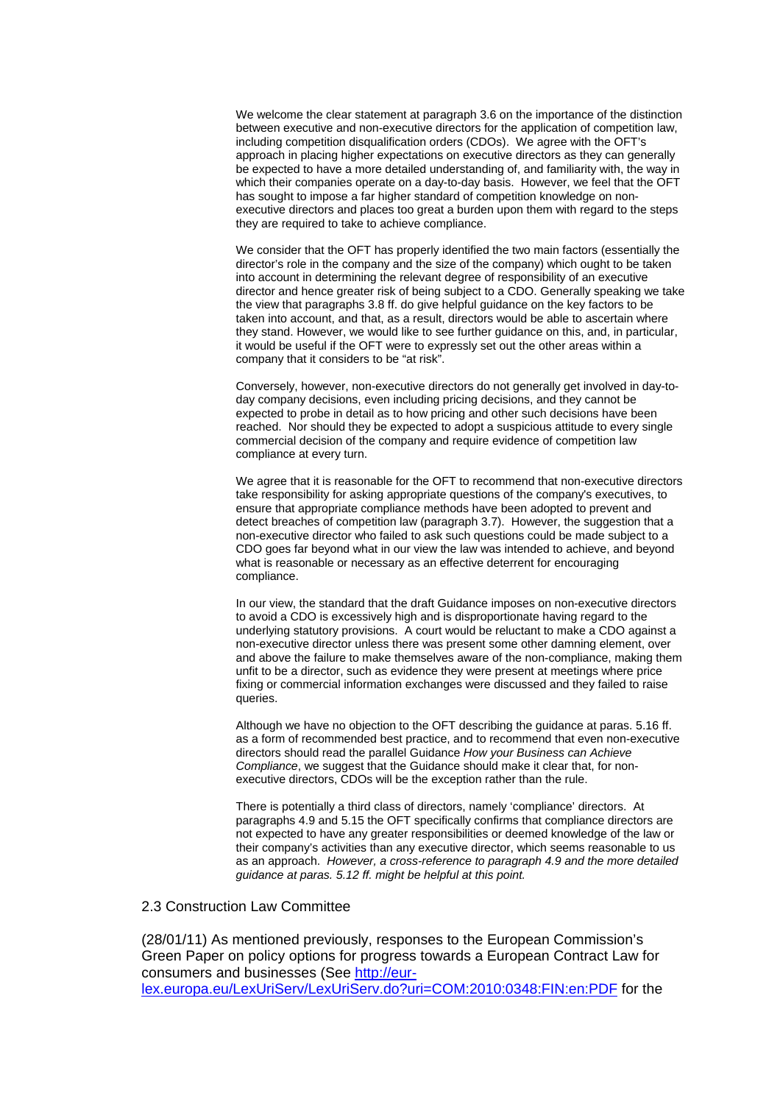We welcome the clear statement at paragraph 3.6 on the importance of the distinction between executive and non-executive directors for the application of competition law, including competition disqualification orders (CDOs). We agree with the OFT's approach in placing higher expectations on executive directors as they can generally be expected to have a more detailed understanding of, and familiarity with, the way in which their companies operate on a day-to-day basis. However, we feel that the OFT has sought to impose a far higher standard of competition knowledge on nonexecutive directors and places too great a burden upon them with regard to the steps they are required to take to achieve compliance.

We consider that the OFT has properly identified the two main factors (essentially the director's role in the company and the size of the company) which ought to be taken into account in determining the relevant degree of responsibility of an executive director and hence greater risk of being subject to a CDO. Generally speaking we take the view that paragraphs 3.8 ff. do give helpful guidance on the key factors to be taken into account, and that, as a result, directors would be able to ascertain where they stand. However, we would like to see further guidance on this, and, in particular, it would be useful if the OFT were to expressly set out the other areas within a company that it considers to be "at risk".

Conversely, however, non-executive directors do not generally get involved in day-today company decisions, even including pricing decisions, and they cannot be expected to probe in detail as to how pricing and other such decisions have been reached. Nor should they be expected to adopt a suspicious attitude to every single commercial decision of the company and require evidence of competition law compliance at every turn.

We agree that it is reasonable for the OFT to recommend that non-executive directors take responsibility for asking appropriate questions of the company's executives, to ensure that appropriate compliance methods have been adopted to prevent and detect breaches of competition law (paragraph 3.7). However, the suggestion that a non-executive director who failed to ask such questions could be made subject to a CDO goes far beyond what in our view the law was intended to achieve, and beyond what is reasonable or necessary as an effective deterrent for encouraging compliance.

In our view, the standard that the draft Guidance imposes on non-executive directors to avoid a CDO is excessively high and is disproportionate having regard to the underlying statutory provisions. A court would be reluctant to make a CDO against a non-executive director unless there was present some other damning element, over and above the failure to make themselves aware of the non-compliance, making them unfit to be a director, such as evidence they were present at meetings where price fixing or commercial information exchanges were discussed and they failed to raise queries.

Although we have no objection to the OFT describing the guidance at paras. 5.16 ff. as a form of recommended best practice, and to recommend that even non-executive directors should read the parallel Guidance *How your Business can Achieve Compliance*, we suggest that the Guidance should make it clear that, for nonexecutive directors, CDOs will be the exception rather than the rule.

There is potentially a third class of directors, namely 'compliance' directors. At paragraphs 4.9 and 5.15 the OFT specifically confirms that compliance directors are not expected to have any greater responsibilities or deemed knowledge of the law or their company's activities than any executive director, which seems reasonable to us as an approach. *However, a cross-reference to paragraph 4.9 and the more detailed guidance at paras. 5.12 ff. might be helpful at this point.* 

# 2.3 Construction Law Committee

(28/01/11) As mentioned previously, responses to the European Commission's Green Paper on policy options for progress towards a European Contract Law for consumers and businesses (See [http://eur](http://eur-lex.europa.eu/LexUriServ/LexUriServ.do?uri=COM:2010:0348:FIN:en:PDF)[lex.europa.eu/LexUriServ/LexUriServ.do?uri=COM:2010:0348:FIN:en:PDF](http://eur-lex.europa.eu/LexUriServ/LexUriServ.do?uri=COM:2010:0348:FIN:en:PDF) for the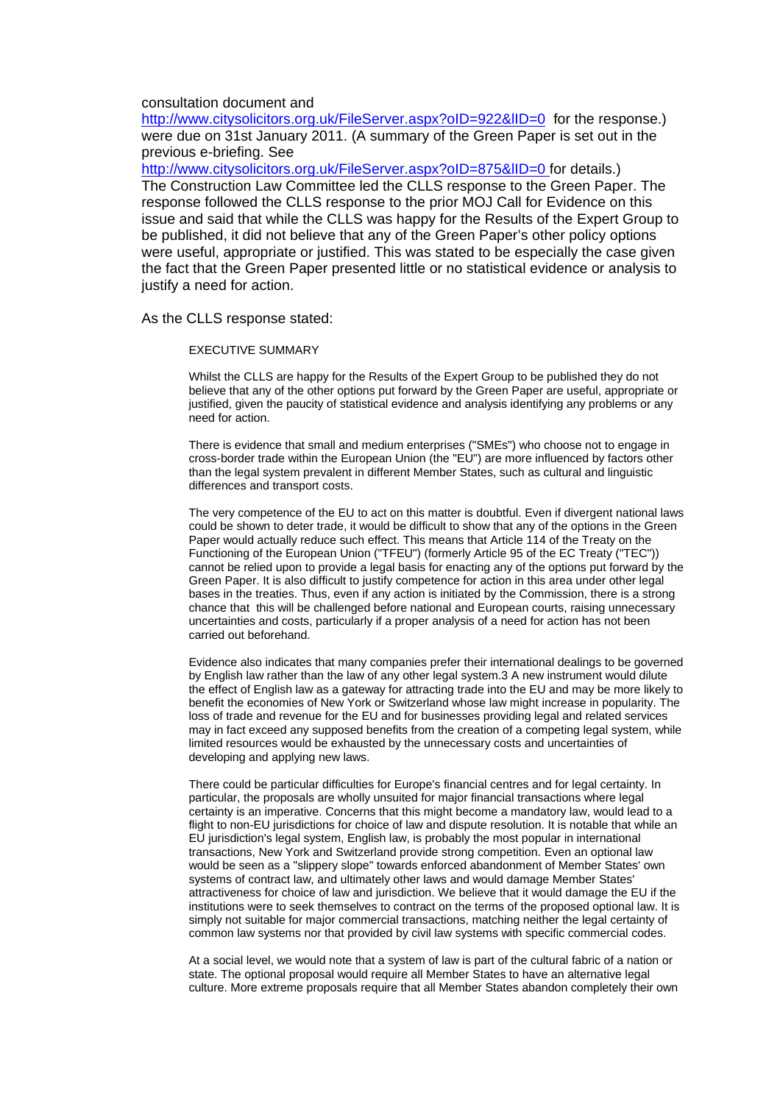# consultation document and

http://www.citysolicitors.org.uk/FileServer.aspx?oID=922&IID=0 for the response.) were due on 31st January 2011. (A summary of the Green Paper is set out in the previous e-briefing. See

http://www.citysolicitors.org.uk/FileServer.aspx?oID=875&IID=0 for details.) The Construction Law Committee led the CLLS response to the Green Paper. The response followed the CLLS response to the prior MOJ Call for Evidence on this issue and said that while the CLLS was happy for the Results of the Expert Group to be published, it did not believe that any of the Green Paper's other policy options were useful, appropriate or justified. This was stated to be especially the case given the fact that the Green Paper presented little or no statistical evidence or analysis to justify a need for action.

As the CLLS response stated:

#### EXECUTIVE SUMMARY

Whilst the CLLS are happy for the Results of the Expert Group to be published they do not believe that any of the other options put forward by the Green Paper are useful, appropriate or justified, given the paucity of statistical evidence and analysis identifying any problems or any need for action.

There is evidence that small and medium enterprises ("SMEs") who choose not to engage in cross-border trade within the European Union (the "EU") are more influenced by factors other than the legal system prevalent in different Member States, such as cultural and linguistic differences and transport costs.

The very competence of the EU to act on this matter is doubtful. Even if divergent national laws could be shown to deter trade, it would be difficult to show that any of the options in the Green Paper would actually reduce such effect. This means that Article 114 of the Treaty on the Functioning of the European Union ("TFEU") (formerly Article 95 of the EC Treaty ("TEC")) cannot be relied upon to provide a legal basis for enacting any of the options put forward by the Green Paper. It is also difficult to justify competence for action in this area under other legal bases in the treaties. Thus, even if any action is initiated by the Commission, there is a strong chance that this will be challenged before national and European courts, raising unnecessary uncertainties and costs, particularly if a proper analysis of a need for action has not been carried out beforehand.

Evidence also indicates that many companies prefer their international dealings to be governed by English law rather than the law of any other legal system.3 A new instrument would dilute the effect of English law as a gateway for attracting trade into the EU and may be more likely to benefit the economies of New York or Switzerland whose law might increase in popularity. The loss of trade and revenue for the EU and for businesses providing legal and related services may in fact exceed any supposed benefits from the creation of a competing legal system, while limited resources would be exhausted by the unnecessary costs and uncertainties of developing and applying new laws.

There could be particular difficulties for Europe's financial centres and for legal certainty. In particular, the proposals are wholly unsuited for major financial transactions where legal certainty is an imperative. Concerns that this might become a mandatory law, would lead to a flight to non-EU jurisdictions for choice of law and dispute resolution. It is notable that while an EU jurisdiction's legal system, English law, is probably the most popular in international transactions, New York and Switzerland provide strong competition. Even an optional law would be seen as a "slippery slope" towards enforced abandonment of Member States' own systems of contract law, and ultimately other laws and would damage Member States' attractiveness for choice of law and jurisdiction. We believe that it would damage the EU if the institutions were to seek themselves to contract on the terms of the proposed optional law. It is simply not suitable for major commercial transactions, matching neither the legal certainty of common law systems nor that provided by civil law systems with specific commercial codes.

At a social level, we would note that a system of law is part of the cultural fabric of a nation or state. The optional proposal would require all Member States to have an alternative legal culture. More extreme proposals require that all Member States abandon completely their own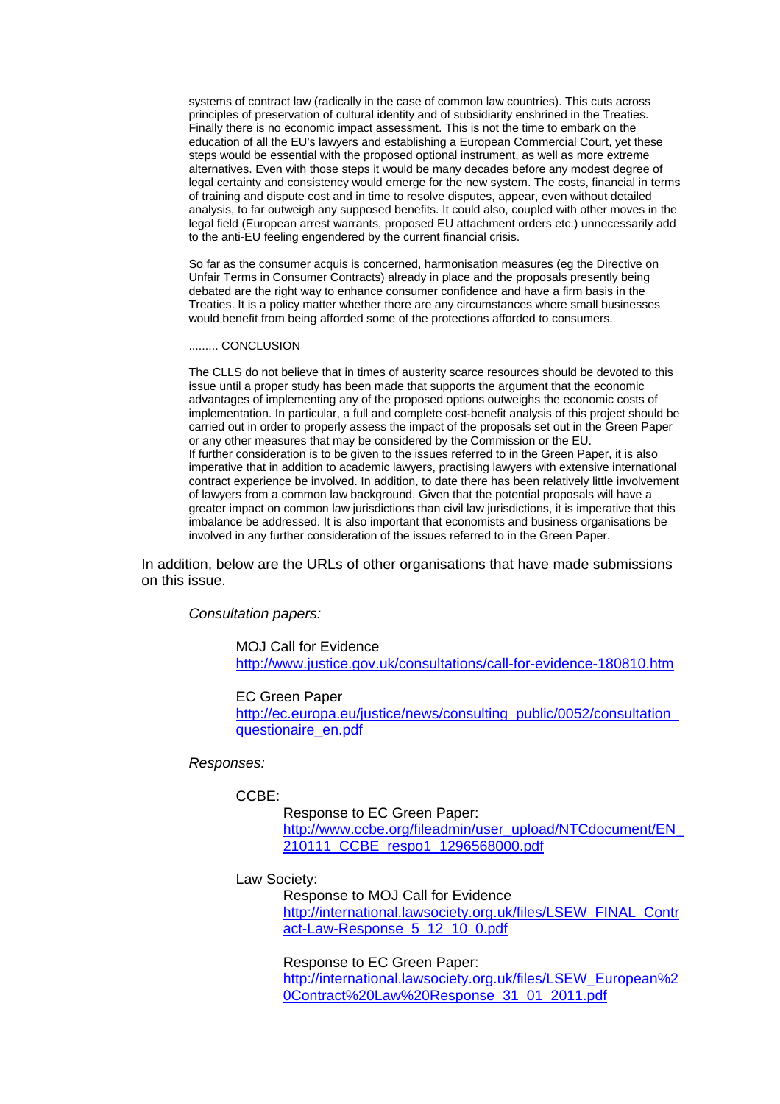systems of contract law (radically in the case of common law countries). This cuts across principles of preservation of cultural identity and of subsidiarity enshrined in the Treaties. Finally there is no economic impact assessment. This is not the time to embark on the education of all the EU's lawyers and establishing a European Commercial Court, yet these steps would be essential with the proposed optional instrument, as well as more extreme alternatives. Even with those steps it would be many decades before any modest degree of legal certainty and consistency would emerge for the new system. The costs, financial in terms of training and dispute cost and in time to resolve disputes, appear, even without detailed analysis, to far outweigh any supposed benefits. It could also, coupled with other moves in the legal field (European arrest warrants, proposed EU attachment orders etc.) unnecessarily add to the anti-EU feeling engendered by the current financial crisis.

So far as the consumer acquis is concerned, harmonisation measures (eg the Directive on Unfair Terms in Consumer Contracts) already in place and the proposals presently being debated are the right way to enhance consumer confidence and have a firm basis in the Treaties. It is a policy matter whether there are any circumstances where small businesses would benefit from being afforded some of the protections afforded to consumers.

### ......... CONCLUSION

The CLLS do not believe that in times of austerity scarce resources should be devoted to this issue until a proper study has been made that supports the argument that the economic advantages of implementing any of the proposed options outweighs the economic costs of implementation. In particular, a full and complete cost-benefit analysis of this project should be carried out in order to properly assess the impact of the proposals set out in the Green Paper or any other measures that may be considered by the Commission or the EU. If further consideration is to be given to the issues referred to in the Green Paper, it is also imperative that in addition to academic lawyers, practising lawyers with extensive international contract experience be involved. In addition, to date there has been relatively little involvement of lawyers from a common law background. Given that the potential proposals will have a greater impact on common law jurisdictions than civil law jurisdictions, it is imperative that this imbalance be addressed. It is also important that economists and business organisations be involved in any further consideration of the issues referred to in the Green Paper.

In addition, below are the URLs of other organisations that have made submissions on this issue.

## *Consultation papers:*

MOJ Call for Evidence <http://www.justice.gov.uk/consultations/call-for-evidence-180810.htm>

# EC Green Paper

http://ec.europa.eu/justice/news/consulting\_public/0052/consultation [questionaire\\_en.pdf](http://ec.europa.eu/justice/news/consulting_public/0052/consultation_questionaire_en.pdf)

## *Responses:*

# CCBE:

 Response to EC Green Paper: http://www.ccbe.org/fileadmin/user\_upload/NTCdocument/EN [210111\\_CCBE\\_respo1\\_1296568000.pdf](http://www.ccbe.org/fileadmin/user_upload/NTCdocument/EN_210111_CCBE_respo1_1296568000.pdf)

# Law Society:

 Response to MOJ Call for Evidence [http://international.lawsociety.org.uk/files/LSEW\\_FINAL\\_Contr](http://international.lawsociety.org.uk/files/LSEW_FINAL_Contract-Law-Response_5_12_10_0.pdf) [act-Law-Response\\_5\\_12\\_10\\_0.pdf](http://international.lawsociety.org.uk/files/LSEW_FINAL_Contract-Law-Response_5_12_10_0.pdf)

 Response to EC Green Paper: [http://international.lawsociety.org.uk/files/LSEW\\_European%2](http://international.lawsociety.org.uk/files/LSEW_European Contract Law Response_31_01_2011.pdf) [0Contract%20Law%20Response\\_31\\_01\\_2011.pdf](http://international.lawsociety.org.uk/files/LSEW_European Contract Law Response_31_01_2011.pdf)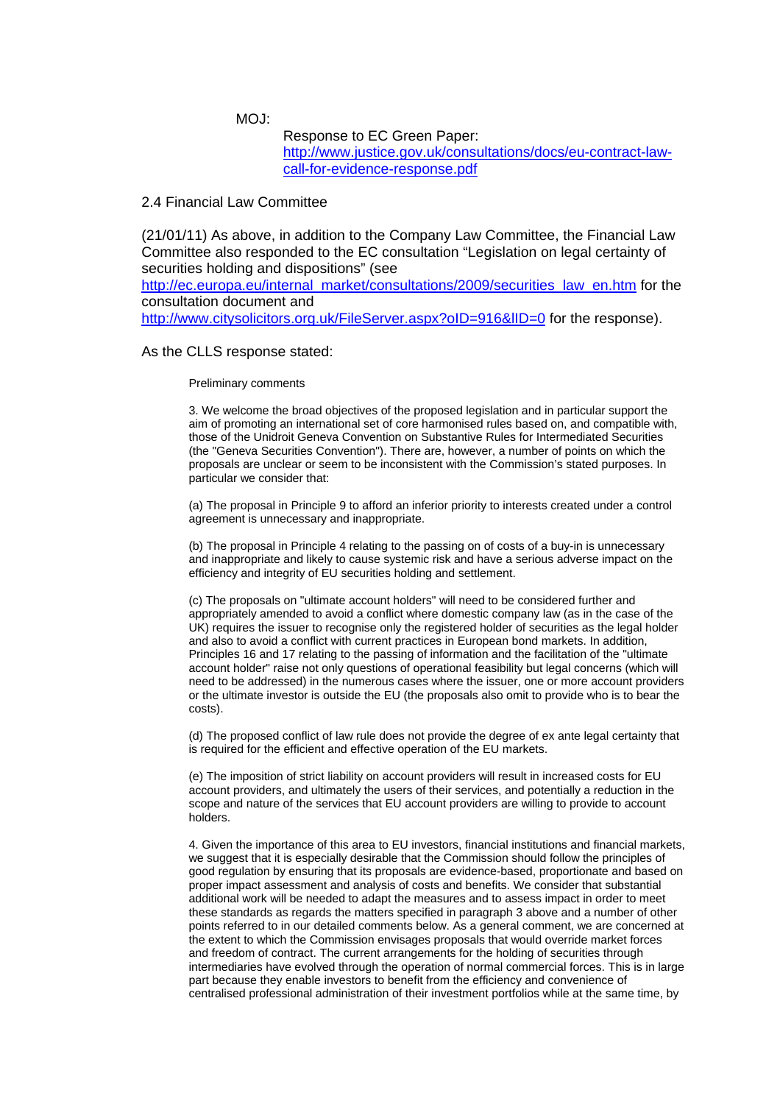MOJ:

 Response to EC Green Paper: [http://www.justice.gov.uk/consultations/docs/eu-contract-law](http://www.justice.gov.uk/consultations/docs/eu-contract-law-call-for-evidence-response.pdf)[call-for-evidence-response.pdf](http://www.justice.gov.uk/consultations/docs/eu-contract-law-call-for-evidence-response.pdf)

# 2.4 Financial Law Committee

(21/01/11) As above, in addition to the Company Law Committee, the Financial Law Committee also responded to the EC consultation "Legislation on legal certainty of securities holding and dispositions" (see

[http://ec.europa.eu/internal\\_market/consultations/2009/securities\\_law\\_en.htm](http://ec.europa.eu/internal_market/consultations/2009/securities_law_en.htm) for the consultation document and

http://www.citysolicitors.org.uk/FileServer.aspx?oID=916&IID=0 for the response).

### As the CLLS response stated:

## Preliminary comments

3. We welcome the broad objectives of the proposed legislation and in particular support the aim of promoting an international set of core harmonised rules based on, and compatible with, those of the Unidroit Geneva Convention on Substantive Rules for Intermediated Securities (the "Geneva Securities Convention"). There are, however, a number of points on which the proposals are unclear or seem to be inconsistent with the Commission's stated purposes. In particular we consider that:

(a) The proposal in Principle 9 to afford an inferior priority to interests created under a control agreement is unnecessary and inappropriate.

(b) The proposal in Principle 4 relating to the passing on of costs of a buy-in is unnecessary and inappropriate and likely to cause systemic risk and have a serious adverse impact on the efficiency and integrity of EU securities holding and settlement.

(c) The proposals on "ultimate account holders" will need to be considered further and appropriately amended to avoid a conflict where domestic company law (as in the case of the UK) requires the issuer to recognise only the registered holder of securities as the legal holder and also to avoid a conflict with current practices in European bond markets. In addition, Principles 16 and 17 relating to the passing of information and the facilitation of the "ultimate account holder" raise not only questions of operational feasibility but legal concerns (which will need to be addressed) in the numerous cases where the issuer, one or more account providers or the ultimate investor is outside the EU (the proposals also omit to provide who is to bear the costs).

(d) The proposed conflict of law rule does not provide the degree of ex ante legal certainty that is required for the efficient and effective operation of the EU markets.

(e) The imposition of strict liability on account providers will result in increased costs for EU account providers, and ultimately the users of their services, and potentially a reduction in the scope and nature of the services that EU account providers are willing to provide to account holders.

4. Given the importance of this area to EU investors, financial institutions and financial markets, we suggest that it is especially desirable that the Commission should follow the principles of good regulation by ensuring that its proposals are evidence-based, proportionate and based on proper impact assessment and analysis of costs and benefits. We consider that substantial additional work will be needed to adapt the measures and to assess impact in order to meet these standards as regards the matters specified in paragraph 3 above and a number of other points referred to in our detailed comments below. As a general comment, we are concerned at the extent to which the Commission envisages proposals that would override market forces and freedom of contract. The current arrangements for the holding of securities through intermediaries have evolved through the operation of normal commercial forces. This is in large part because they enable investors to benefit from the efficiency and convenience of centralised professional administration of their investment portfolios while at the same time, by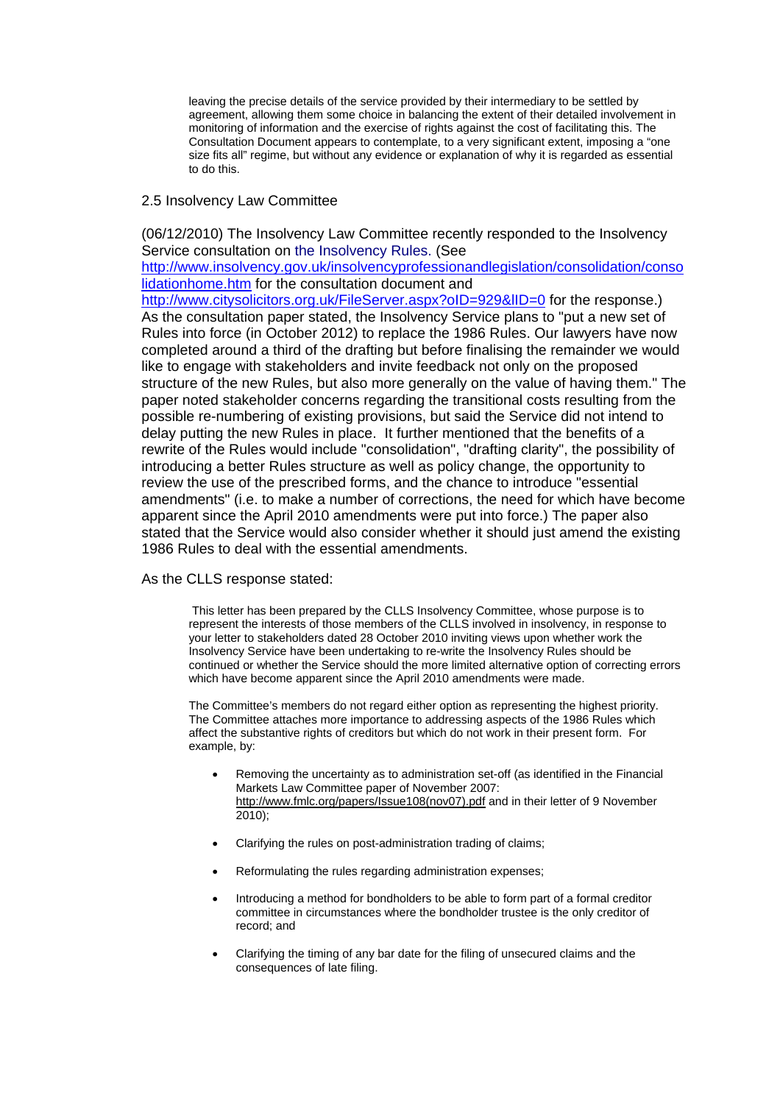leaving the precise details of the service provided by their intermediary to be settled by agreement, allowing them some choice in balancing the extent of their detailed involvement in monitoring of information and the exercise of rights against the cost of facilitating this. The Consultation Document appears to contemplate, to a very significant extent, imposing a "one size fits all" regime, but without any evidence or explanation of why it is regarded as essential to do this.

# 2.5 Insolvency Law Committee

(06/12/2010) The Insolvency Law Committee recently responded to the Insolvency Service consultation on the Insolvency Rules. (See

[http://www.insolvency.gov.uk/insolvencyprofessionandlegislation/consolidation/conso](http://www.insolvency.gov.uk/insolvencyprofessionandlegislation/consolidation/consolidationhome.htm) [lidationhome.htm](http://www.insolvency.gov.uk/insolvencyprofessionandlegislation/consolidation/consolidationhome.htm) for the consultation document and

http://www.citysolicitors.org.uk/FileServer.aspx?oID=929&IID=0 for the response.) As the consultation paper stated, the Insolvency Service plans to "put a new set of Rules into force (in October 2012) to replace the 1986 Rules. Our lawyers have now completed around a third of the drafting but before finalising the remainder we would like to engage with stakeholders and invite feedback not only on the proposed structure of the new Rules, but also more generally on the value of having them." The paper noted stakeholder concerns regarding the transitional costs resulting from the possible re-numbering of existing provisions, but said the Service did not intend to delay putting the new Rules in place. It further mentioned that the benefits of a rewrite of the Rules would include "consolidation", "drafting clarity", the possibility of introducing a better Rules structure as well as policy change, the opportunity to review the use of the prescribed forms, and the chance to introduce "essential amendments" (i.e. to make a number of corrections, the need for which have become apparent since the April 2010 amendments were put into force.) The paper also stated that the Service would also consider whether it should just amend the existing 1986 Rules to deal with the essential amendments.

As the CLLS response stated:

 This letter has been prepared by the CLLS Insolvency Committee, whose purpose is to represent the interests of those members of the CLLS involved in insolvency, in response to your letter to stakeholders dated 28 October 2010 inviting views upon whether work the Insolvency Service have been undertaking to re-write the Insolvency Rules should be continued or whether the Service should the more limited alternative option of correcting errors which have become apparent since the April 2010 amendments were made.

The Committee's members do not regard either option as representing the highest priority. The Committee attaches more importance to addressing aspects of the 1986 Rules which affect the substantive rights of creditors but which do not work in their present form. For example, by:

- Removing the uncertainty as to administration set-off (as identified in the Financial Markets Law Committee paper of November 2007: [http://www.fmlc.org/papers/Issue108\(nov07\).pdf](http://www.fmlc.org/papers/Issue108(nov07).pdf) and in their letter of 9 November 2010);
- Clarifying the rules on post-administration trading of claims;
- Reformulating the rules regarding administration expenses;
- Introducing a method for bondholders to be able to form part of a formal creditor committee in circumstances where the bondholder trustee is the only creditor of record; and
- Clarifying the timing of any bar date for the filing of unsecured claims and the consequences of late filing.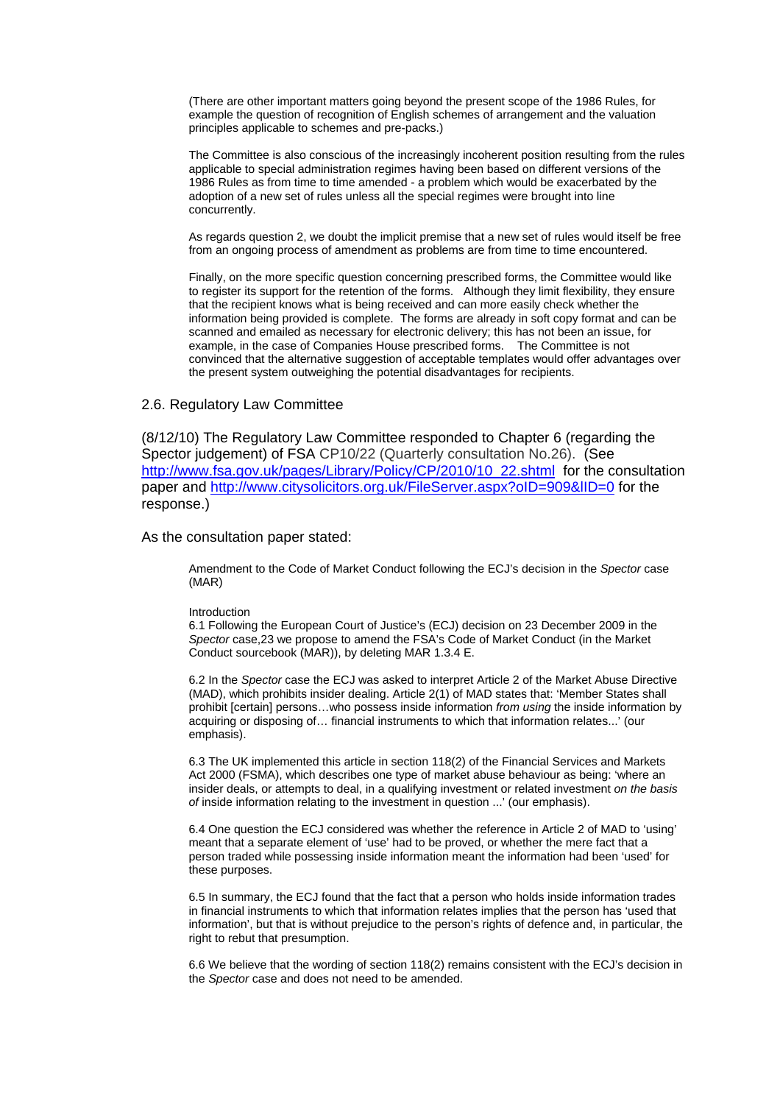(There are other important matters going beyond the present scope of the 1986 Rules, for example the question of recognition of English schemes of arrangement and the valuation principles applicable to schemes and pre-packs.)

The Committee is also conscious of the increasingly incoherent position resulting from the rules applicable to special administration regimes having been based on different versions of the 1986 Rules as from time to time amended - a problem which would be exacerbated by the adoption of a new set of rules unless all the special regimes were brought into line concurrently.

As regards question 2, we doubt the implicit premise that a new set of rules would itself be free from an ongoing process of amendment as problems are from time to time encountered.

Finally, on the more specific question concerning prescribed forms, the Committee would like to register its support for the retention of the forms. Although they limit flexibility, they ensure that the recipient knows what is being received and can more easily check whether the information being provided is complete. The forms are already in soft copy format and can be scanned and emailed as necessary for electronic delivery; this has not been an issue, for example, in the case of Companies House prescribed forms. The Committee is not convinced that the alternative suggestion of acceptable templates would offer advantages over the present system outweighing the potential disadvantages for recipients.

# 2.6. Regulatory Law Committee

(8/12/10) The Regulatory Law Committee responded to Chapter 6 (regarding the Spector judgement) of FSA CP10/22 (Quarterly consultation No.26). (See [http://www.fsa.gov.uk/pages/Library/Policy/CP/2010/10\\_22.shtml](http://www.fsa.gov.uk/pages/Library/Policy/CP/2010/10_22.shtml) for the consultation paper and <http://www.citysolicitors.org.uk/FileServer.aspx?oID=909&lID=0>for the response.)

## As the consultation paper stated:

Amendment to the Code of Market Conduct following the ECJ's decision in the *Spector* case (MAR)

#### Introduction

6.1 Following the European Court of Justice's (ECJ) decision on 23 December 2009 in the *Spector* case,23 we propose to amend the FSA's Code of Market Conduct (in the Market Conduct sourcebook (MAR)), by deleting MAR 1.3.4 E.

6.2 In the *Spector* case the ECJ was asked to interpret Article 2 of the Market Abuse Directive (MAD), which prohibits insider dealing. Article 2(1) of MAD states that: 'Member States shall prohibit [certain] persons…who possess inside information *from using* the inside information by acquiring or disposing of… financial instruments to which that information relates...' (our emphasis).

6.3 The UK implemented this article in section 118(2) of the Financial Services and Markets Act 2000 (FSMA), which describes one type of market abuse behaviour as being: 'where an insider deals, or attempts to deal, in a qualifying investment or related investment *on the basis of* inside information relating to the investment in question ...' (our emphasis).

6.4 One question the ECJ considered was whether the reference in Article 2 of MAD to 'using' meant that a separate element of 'use' had to be proved, or whether the mere fact that a person traded while possessing inside information meant the information had been 'used' for these purposes.

6.5 In summary, the ECJ found that the fact that a person who holds inside information trades in financial instruments to which that information relates implies that the person has 'used that information', but that is without prejudice to the person's rights of defence and, in particular, the right to rebut that presumption.

6.6 We believe that the wording of section 118(2) remains consistent with the ECJ's decision in the *Spector* case and does not need to be amended.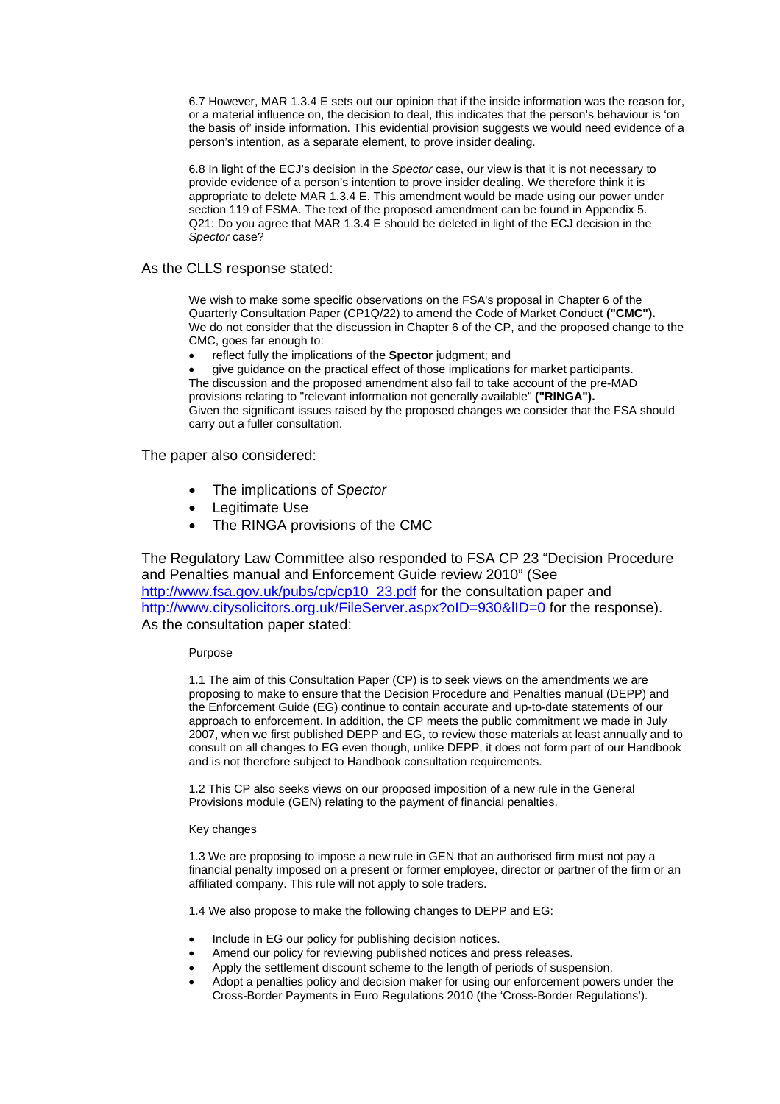6.7 However, MAR 1.3.4 E sets out our opinion that if the inside information was the reason for, or a material influence on, the decision to deal, this indicates that the person's behaviour is 'on the basis of' inside information. This evidential provision suggests we would need evidence of a person's intention, as a separate element, to prove insider dealing.

6.8 In light of the ECJ's decision in the *Spector* case, our view is that it is not necessary to provide evidence of a person's intention to prove insider dealing. We therefore think it is appropriate to delete MAR 1.3.4 E. This amendment would be made using our power under section 119 of FSMA. The text of the proposed amendment can be found in Appendix 5. Q21: Do you agree that MAR 1.3.4 E should be deleted in light of the ECJ decision in the *Spector* case?

# As the CLLS response stated:

We wish to make some specific observations on the FSA's proposal in Chapter 6 of the Quarterly Consultation Paper (CP1Q/22) to amend the Code of Market Conduct **("CMC").**  We do not consider that the discussion in Chapter 6 of the CP, and the proposed change to the CMC, goes far enough to:

• reflect fully the implications of the **Spector** judgment; and

• give guidance on the practical effect of those implications for market participants. The discussion and the proposed amendment also fail to take account of the pre-MAD provisions relating to "relevant information not generally available" **("RINGA").**  Given the significant issues raised by the proposed changes we consider that the FSA should carry out a fuller consultation.

The paper also considered:

- The implications of *Spector*
- Legitimate Use
- The RINGA provisions of the CMC

The Regulatory Law Committee also responded to FSA CP 23 "Decision Procedure and Penalties manual and Enforcement Guide review 2010" (See [http://www.fsa.gov.uk/pubs/cp/cp10\\_23.pdf](http://www.fsa.gov.uk/pubs/cp/cp10_23.pdf) for the consultation paper and http://www.citysolicitors.org.uk/FileServer.aspx?oID=930&IID=0 for the response). As the consultation paper stated:

### Purpose

1.1 The aim of this Consultation Paper (CP) is to seek views on the amendments we are proposing to make to ensure that the Decision Procedure and Penalties manual (DEPP) and the Enforcement Guide (EG) continue to contain accurate and up-to-date statements of our approach to enforcement. In addition, the CP meets the public commitment we made in July 2007, when we first published DEPP and EG, to review those materials at least annually and to consult on all changes to EG even though, unlike DEPP, it does not form part of our Handbook and is not therefore subject to Handbook consultation requirements.

1.2 This CP also seeks views on our proposed imposition of a new rule in the General Provisions module (GEN) relating to the payment of financial penalties.

### Key changes

1.3 We are proposing to impose a new rule in GEN that an authorised firm must not pay a financial penalty imposed on a present or former employee, director or partner of the firm or an affiliated company. This rule will not apply to sole traders.

1.4 We also propose to make the following changes to DEPP and EG:

- Include in EG our policy for publishing decision notices.
- Amend our policy for reviewing published notices and press releases.
- Apply the settlement discount scheme to the length of periods of suspension.
- Adopt a penalties policy and decision maker for using our enforcement powers under the Cross-Border Payments in Euro Regulations 2010 (the 'Cross-Border Regulations').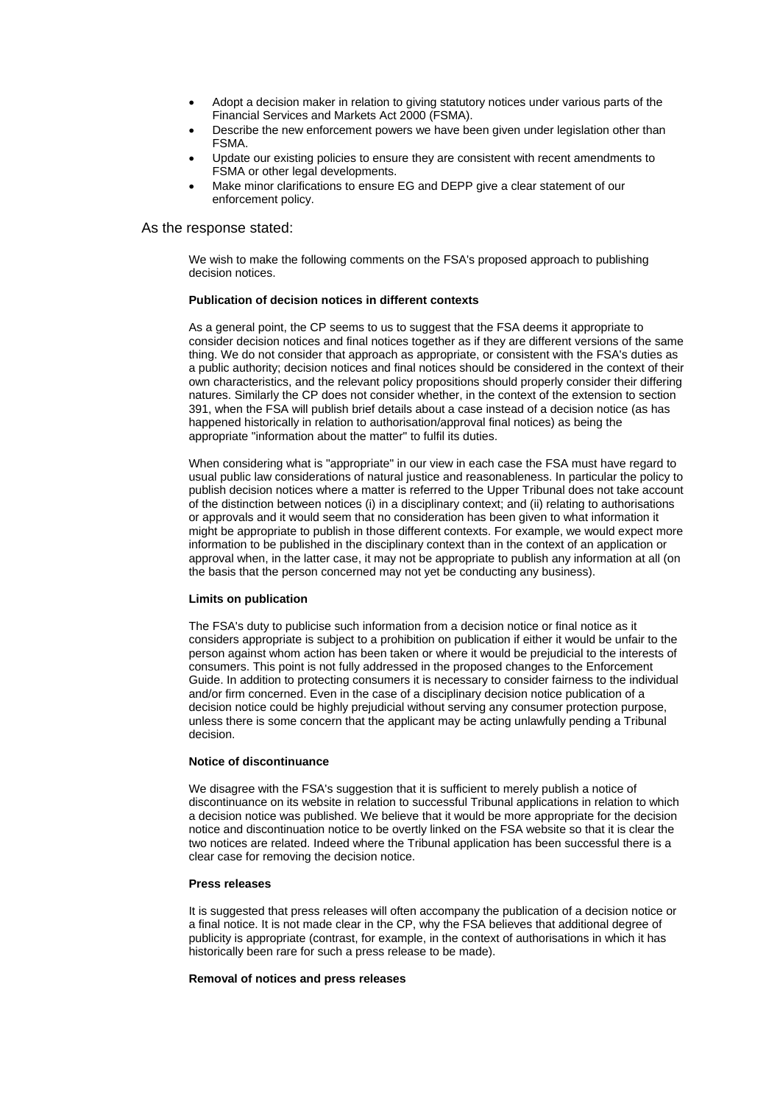- Adopt a decision maker in relation to giving statutory notices under various parts of the Financial Services and Markets Act 2000 (FSMA).
- Describe the new enforcement powers we have been given under legislation other than FSMA.
- Update our existing policies to ensure they are consistent with recent amendments to FSMA or other legal developments.
- Make minor clarifications to ensure EG and DEPP give a clear statement of our enforcement policy.

As the response stated:

We wish to make the following comments on the FSA's proposed approach to publishing decision notices.

#### **Publication of decision notices in different contexts**

As a general point, the CP seems to us to suggest that the FSA deems it appropriate to consider decision notices and final notices together as if they are different versions of the same thing. We do not consider that approach as appropriate, or consistent with the FSA's duties as a public authority; decision notices and final notices should be considered in the context of their own characteristics, and the relevant policy propositions should properly consider their differing natures. Similarly the CP does not consider whether, in the context of the extension to section 391, when the FSA will publish brief details about a case instead of a decision notice (as has happened historically in relation to authorisation/approval final notices) as being the appropriate "information about the matter" to fulfil its duties.

When considering what is "appropriate" in our view in each case the FSA must have regard to usual public law considerations of natural justice and reasonableness. In particular the policy to publish decision notices where a matter is referred to the Upper Tribunal does not take account of the distinction between notices (i) in a disciplinary context; and (ii) relating to authorisations or approvals and it would seem that no consideration has been given to what information it might be appropriate to publish in those different contexts. For example, we would expect more information to be published in the disciplinary context than in the context of an application or approval when, in the latter case, it may not be appropriate to publish any information at all (on the basis that the person concerned may not yet be conducting any business).

#### **Limits on publication**

The FSA's duty to publicise such information from a decision notice or final notice as it considers appropriate is subject to a prohibition on publication if either it would be unfair to the person against whom action has been taken or where it would be prejudicial to the interests of consumers. This point is not fully addressed in the proposed changes to the Enforcement Guide. In addition to protecting consumers it is necessary to consider fairness to the individual and/or firm concerned. Even in the case of a disciplinary decision notice publication of a decision notice could be highly prejudicial without serving any consumer protection purpose, unless there is some concern that the applicant may be acting unlawfully pending a Tribunal decision.

#### **Notice of discontinuance**

We disagree with the FSA's suggestion that it is sufficient to merely publish a notice of discontinuance on its website in relation to successful Tribunal applications in relation to which a decision notice was published. We believe that it would be more appropriate for the decision notice and discontinuation notice to be overtly linked on the FSA website so that it is clear the two notices are related. Indeed where the Tribunal application has been successful there is a clear case for removing the decision notice.

### **Press releases**

It is suggested that press releases will often accompany the publication of a decision notice or a final notice. It is not made clear in the CP, why the FSA believes that additional degree of publicity is appropriate (contrast, for example, in the context of authorisations in which it has historically been rare for such a press release to be made).

### **Removal of notices and press releases**